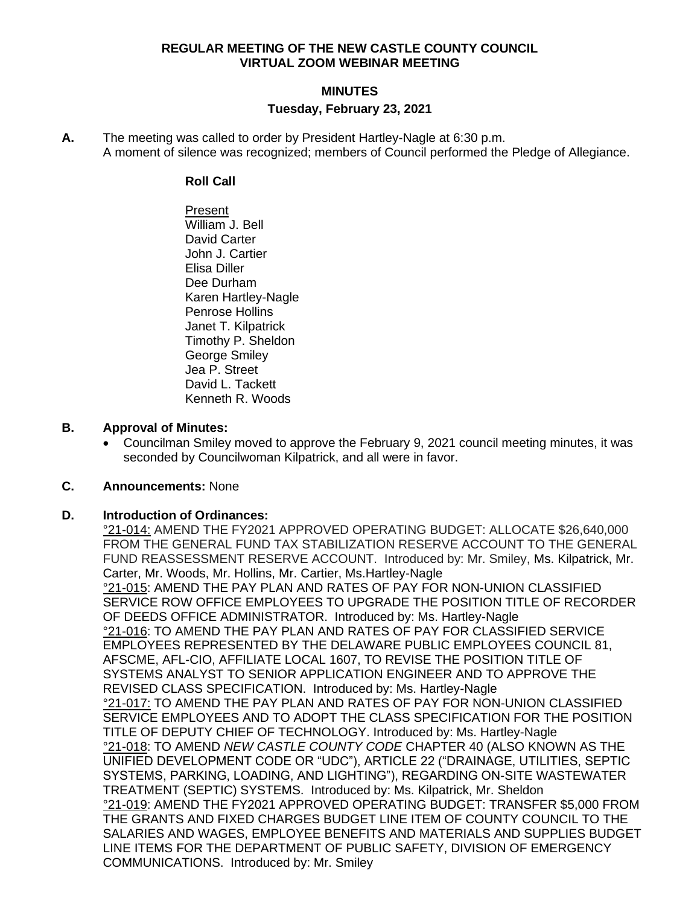#### **REGULAR MEETING OF THE NEW CASTLE COUNTY COUNCIL VIRTUAL ZOOM WEBINAR MEETING**

## **MINUTES Tuesday, February 23, 2021**

**A.** The meeting was called to order by President Hartley-Nagle at 6:30 p.m. A moment of silence was recognized; members of Council performed the Pledge of Allegiance.

#### **Roll Call**

Present William J. Bell David Carter John J. Cartier Elisa Diller Dee Durham Karen Hartley-Nagle Penrose Hollins Janet T. Kilpatrick Timothy P. Sheldon George Smiley Jea P. Street David L. Tackett Kenneth R. Woods

## **B. Approval of Minutes:**

• Councilman Smiley moved to approve the February 9, 2021 council meeting minutes, it was seconded by Councilwoman Kilpatrick, and all were in favor.

## **C. Announcements:** None

## **D. Introduction of Ordinances:**

°21-014: AMEND THE FY2021 APPROVED OPERATING BUDGET: ALLOCATE \$26,640,000 FROM THE GENERAL FUND TAX STABILIZATION RESERVE ACCOUNT TO THE GENERAL FUND REASSESSMENT RESERVE ACCOUNT. Introduced by: Mr. Smiley, Ms. Kilpatrick, Mr. Carter, Mr. Woods, Mr. Hollins, Mr. Cartier, Ms.Hartley-Nagle °21-015: AMEND THE PAY PLAN AND RATES OF PAY FOR NON-UNION CLASSIFIED SERVICE ROW OFFICE EMPLOYEES TO UPGRADE THE POSITION TITLE OF RECORDER OF DEEDS OFFICE ADMINISTRATOR. Introduced by: Ms. Hartley-Nagle °21-016: TO AMEND THE PAY PLAN AND RATES OF PAY FOR CLASSIFIED SERVICE EMPLOYEES REPRESENTED BY THE DELAWARE PUBLIC EMPLOYEES COUNCIL 81, AFSCME, AFL-CIO, AFFILIATE LOCAL 1607, TO REVISE THE POSITION TITLE OF SYSTEMS ANALYST TO SENIOR APPLICATION ENGINEER AND TO APPROVE THE REVISED CLASS SPECIFICATION. Introduced by: Ms. Hartley-Nagle °21-017: TO AMEND THE PAY PLAN AND RATES OF PAY FOR NON-UNION CLASSIFIED SERVICE EMPLOYEES AND TO ADOPT THE CLASS SPECIFICATION FOR THE POSITION TITLE OF DEPUTY CHIEF OF TECHNOLOGY. Introduced by: Ms. Hartley-Nagle °21-018: TO AMEND *NEW CASTLE COUNTY CODE* CHAPTER 40 (ALSO KNOWN AS THE UNIFIED DEVELOPMENT CODE OR "UDC"), ARTICLE 22 ("DRAINAGE, UTILITIES, SEPTIC SYSTEMS, PARKING, LOADING, AND LIGHTING"), REGARDING ON-SITE WASTEWATER TREATMENT (SEPTIC) SYSTEMS. Introduced by: Ms. Kilpatrick, Mr. Sheldon °21-019: AMEND THE FY2021 APPROVED OPERATING BUDGET: TRANSFER \$5,000 FROM THE GRANTS AND FIXED CHARGES BUDGET LINE ITEM OF COUNTY COUNCIL TO THE SALARIES AND WAGES, EMPLOYEE BENEFITS AND MATERIALS AND SUPPLIES BUDGET LINE ITEMS FOR THE DEPARTMENT OF PUBLIC SAFETY, DIVISION OF EMERGENCY COMMUNICATIONS. Introduced by: Mr. Smiley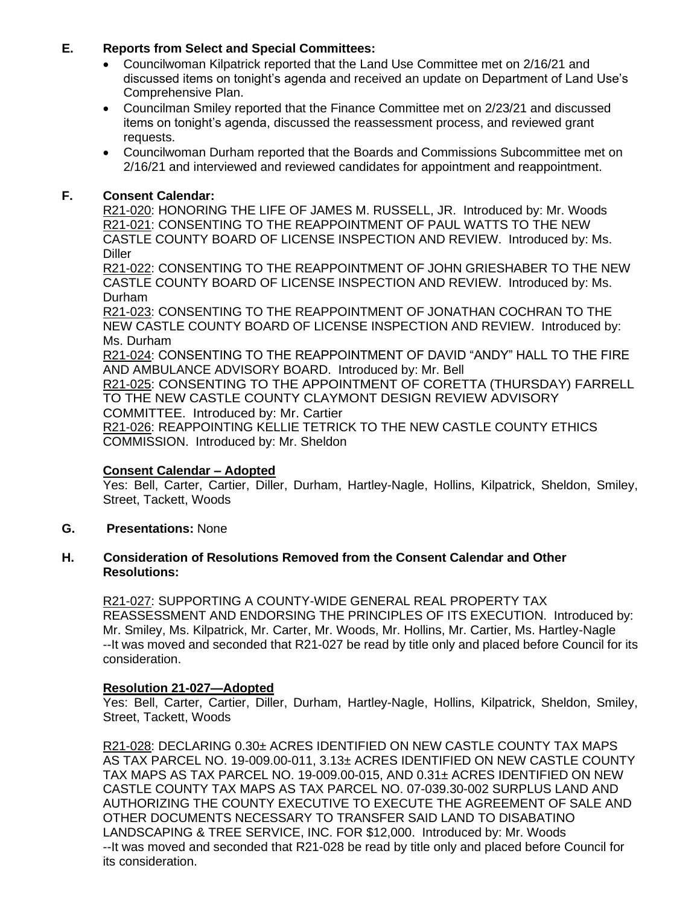## **E. Reports from Select and Special Committees:**

- Councilwoman Kilpatrick reported that the Land Use Committee met on 2/16/21 and discussed items on tonight's agenda and received an update on Department of Land Use's Comprehensive Plan.
- Councilman Smiley reported that the Finance Committee met on 2/23/21 and discussed items on tonight's agenda, discussed the reassessment process, and reviewed grant requests.
- Councilwoman Durham reported that the Boards and Commissions Subcommittee met on 2/16/21 and interviewed and reviewed candidates for appointment and reappointment.

## **F. Consent Calendar:**

R21-020: HONORING THE LIFE OF JAMES M. RUSSELL, JR. Introduced by: Mr. Woods R21-021: CONSENTING TO THE REAPPOINTMENT OF PAUL WATTS TO THE NEW CASTLE COUNTY BOARD OF LICENSE INSPECTION AND REVIEW. Introduced by: Ms. **Diller** 

R21-022: CONSENTING TO THE REAPPOINTMENT OF JOHN GRIESHABER TO THE NEW CASTLE COUNTY BOARD OF LICENSE INSPECTION AND REVIEW. Introduced by: Ms. Durham

R21-023: CONSENTING TO THE REAPPOINTMENT OF JONATHAN COCHRAN TO THE NEW CASTLE COUNTY BOARD OF LICENSE INSPECTION AND REVIEW. Introduced by: Ms. Durham

R21-024: CONSENTING TO THE REAPPOINTMENT OF DAVID "ANDY" HALL TO THE FIRE AND AMBULANCE ADVISORY BOARD. Introduced by: Mr. Bell

R21-025: CONSENTING TO THE APPOINTMENT OF CORETTA (THURSDAY) FARRELL TO THE NEW CASTLE COUNTY CLAYMONT DESIGN REVIEW ADVISORY COMMITTEE. Introduced by: Mr. Cartier

R21-026: REAPPOINTING KELLIE TETRICK TO THE NEW CASTLE COUNTY ETHICS COMMISSION. Introduced by: Mr. Sheldon

## **Consent Calendar – Adopted**

Yes: Bell, Carter, Cartier, Diller, Durham, Hartley-Nagle, Hollins, Kilpatrick, Sheldon, Smiley, Street, Tackett, Woods

**G. Presentations:** None

#### **H. Consideration of Resolutions Removed from the Consent Calendar and Other Resolutions:**

R21-027: SUPPORTING A COUNTY-WIDE GENERAL REAL PROPERTY TAX REASSESSMENT AND ENDORSING THE PRINCIPLES OF ITS EXECUTION. Introduced by: Mr. Smiley, Ms. Kilpatrick, Mr. Carter, Mr. Woods, Mr. Hollins, Mr. Cartier, Ms. Hartley-Nagle --It was moved and seconded that R21-027 be read by title only and placed before Council for its consideration.

## **Resolution 21-027—Adopted**

Yes: Bell, Carter, Cartier, Diller, Durham, Hartley-Nagle, Hollins, Kilpatrick, Sheldon, Smiley, Street, Tackett, Woods

R21-028: DECLARING 0.30± ACRES IDENTIFIED ON NEW CASTLE COUNTY TAX MAPS AS [TAX PARCEL NO. 19-009.00-011,](http://www3.nccde.org/parcel/Details/Default.aspx?ParcelKey=147242) 3.13± ACRES IDENTIFIED ON NEW CASTLE COUNTY TAX MAPS AS [TAX PARCEL NO. 19-009.00-015,](http://www3.nccde.org/parcel/Details/Default.aspx?ParcelKey=147246) AND 0.31± ACRES IDENTIFIED ON NEW CASTLE COUNTY TAX MAPS AS [TAX PARCEL NO. 07-039.30-002](http://www3.nccde.org/parcel/Details/Default.aspx?ParcelKey=36011) SURPLUS LAND AND AUTHORIZING THE COUNTY EXECUTIVE TO EXECUTE THE AGREEMENT OF SALE AND OTHER DOCUMENTS NECESSARY TO TRANSFER SAID LAND TO DISABATINO LANDSCAPING & TREE SERVICE, INC. FOR \$12,000. Introduced by: Mr. Woods --It was moved and seconded that R21-028 be read by title only and placed before Council for its consideration.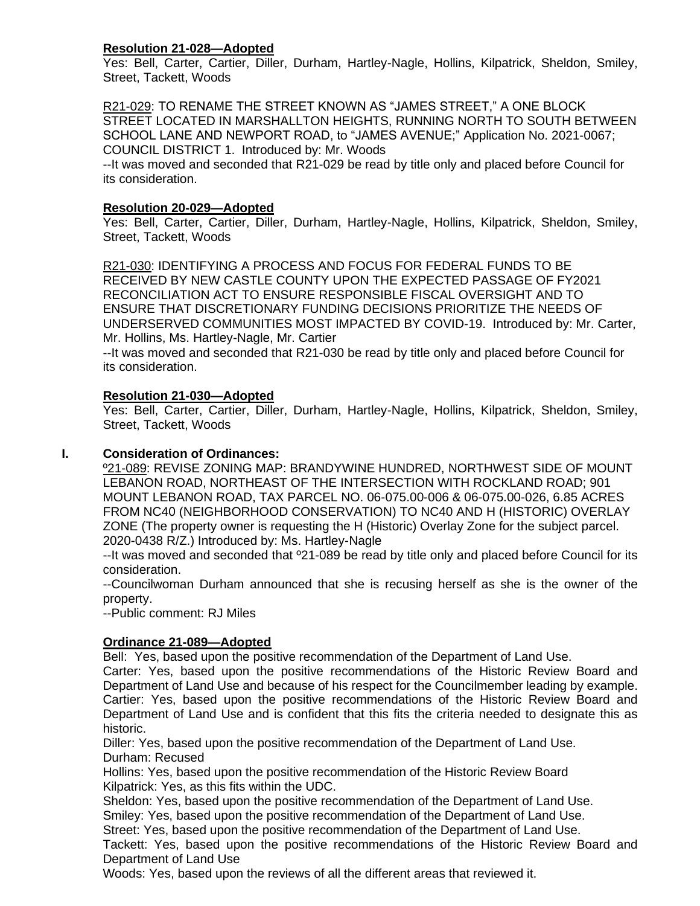## **Resolution 21-028—Adopted**

Yes: Bell, Carter, Cartier, Diller, Durham, Hartley-Nagle, Hollins, Kilpatrick, Sheldon, Smiley, Street, Tackett, Woods

R21-029: TO RENAME THE STREET KNOWN AS "JAMES STREET," A ONE BLOCK STREET LOCATED IN MARSHALLTON HEIGHTS, RUNNING NORTH TO SOUTH BETWEEN SCHOOL LANE AND NEWPORT ROAD, to "JAMES AVENUE;" [Application No. 2021-0067;](http://www3.nccde.org/project/details/default.aspx?ProjectKey=699519) COUNCIL DISTRICT 1. Introduced by: Mr. Woods

--It was moved and seconded that R21-029 be read by title only and placed before Council for its consideration.

## **Resolution 20-029—Adopted**

Yes: Bell, Carter, Cartier, Diller, Durham, Hartley-Nagle, Hollins, Kilpatrick, Sheldon, Smiley, Street, Tackett, Woods

R21-030: IDENTIFYING A PROCESS AND FOCUS FOR FEDERAL FUNDS TO BE RECEIVED BY NEW CASTLE COUNTY UPON THE EXPECTED PASSAGE OF FY2021 RECONCILIATION ACT TO ENSURE RESPONSIBLE FISCAL OVERSIGHT AND TO ENSURE THAT DISCRETIONARY FUNDING DECISIONS PRIORITIZE THE NEEDS OF UNDERSERVED COMMUNITIES MOST IMPACTED BY COVID-19. Introduced by: Mr. Carter, Mr. Hollins, Ms. Hartley-Nagle, Mr. Cartier

--It was moved and seconded that R21-030 be read by title only and placed before Council for its consideration.

## **Resolution 21-030—Adopted**

Yes: Bell, Carter, Cartier, Diller, Durham, Hartley-Nagle, Hollins, Kilpatrick, Sheldon, Smiley, Street, Tackett, Woods

## **I. Consideration of Ordinances:**

º21-089: REVISE ZONING MAP: BRANDYWINE HUNDRED, NORTHWEST SIDE OF MOUNT LEBANON ROAD, NORTHEAST OF THE INTERSECTION WITH ROCKLAND ROAD; 901 MOUNT LEBANON ROAD, TAX PARCEL NO. 06-075.00-006 & 06-075.00-026, 6.85 ACRES FROM NC40 (NEIGHBORHOOD CONSERVATION) TO NC40 AND H (HISTORIC) OVERLAY ZONE (The property owner is requesting the H (Historic) Overlay Zone for the subject parcel. 2020-0438 R/Z.) Introduced by: Ms. Hartley-Nagle

--It was moved and seconded that º21-089 be read by title only and placed before Council for its consideration.

--Councilwoman Durham announced that she is recusing herself as she is the owner of the property.

--Public comment: RJ Miles

## **Ordinance 21-089—Adopted**

Bell: Yes, based upon the positive recommendation of the Department of Land Use.

Carter: Yes, based upon the positive recommendations of the Historic Review Board and Department of Land Use and because of his respect for the Councilmember leading by example. Cartier: Yes, based upon the positive recommendations of the Historic Review Board and Department of Land Use and is confident that this fits the criteria needed to designate this as historic.

Diller: Yes, based upon the positive recommendation of the Department of Land Use. Durham: Recused

Hollins: Yes, based upon the positive recommendation of the Historic Review Board Kilpatrick: Yes, as this fits within the UDC.

Sheldon: Yes, based upon the positive recommendation of the Department of Land Use.

Smiley: Yes, based upon the positive recommendation of the Department of Land Use.

Street: Yes, based upon the positive recommendation of the Department of Land Use.

Tackett: Yes, based upon the positive recommendations of the Historic Review Board and Department of Land Use

Woods: Yes, based upon the reviews of all the different areas that reviewed it.